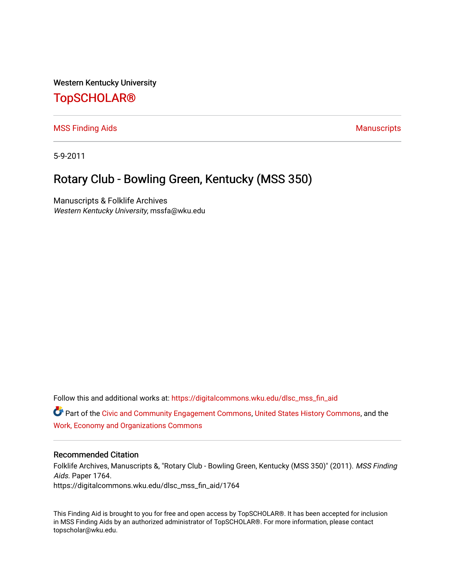Western Kentucky University

# [TopSCHOLAR®](https://digitalcommons.wku.edu/)

[MSS Finding Aids](https://digitalcommons.wku.edu/dlsc_mss_fin_aid) **Manuscripts** [Manuscripts](https://digitalcommons.wku.edu/dlsc_mss) **Manuscripts** 

5-9-2011

# Rotary Club - Bowling Green, Kentucky (MSS 350)

Manuscripts & Folklife Archives Western Kentucky University, mssfa@wku.edu

Follow this and additional works at: [https://digitalcommons.wku.edu/dlsc\\_mss\\_fin\\_aid](https://digitalcommons.wku.edu/dlsc_mss_fin_aid?utm_source=digitalcommons.wku.edu%2Fdlsc_mss_fin_aid%2F1764&utm_medium=PDF&utm_campaign=PDFCoverPages) 

Part of the [Civic and Community Engagement Commons](http://network.bepress.com/hgg/discipline/1028?utm_source=digitalcommons.wku.edu%2Fdlsc_mss_fin_aid%2F1764&utm_medium=PDF&utm_campaign=PDFCoverPages), [United States History Commons](http://network.bepress.com/hgg/discipline/495?utm_source=digitalcommons.wku.edu%2Fdlsc_mss_fin_aid%2F1764&utm_medium=PDF&utm_campaign=PDFCoverPages), and the [Work, Economy and Organizations Commons](http://network.bepress.com/hgg/discipline/433?utm_source=digitalcommons.wku.edu%2Fdlsc_mss_fin_aid%2F1764&utm_medium=PDF&utm_campaign=PDFCoverPages)

#### Recommended Citation

Folklife Archives, Manuscripts &, "Rotary Club - Bowling Green, Kentucky (MSS 350)" (2011). MSS Finding Aids. Paper 1764. https://digitalcommons.wku.edu/dlsc\_mss\_fin\_aid/1764

This Finding Aid is brought to you for free and open access by TopSCHOLAR®. It has been accepted for inclusion in MSS Finding Aids by an authorized administrator of TopSCHOLAR®. For more information, please contact topscholar@wku.edu.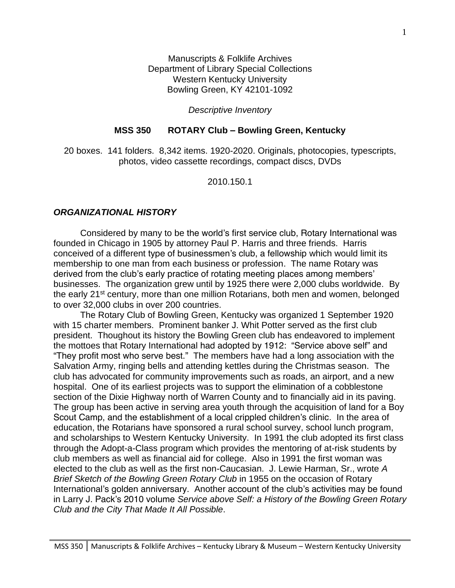Manuscripts & Folklife Archives Department of Library Special Collections Western Kentucky University Bowling Green, KY 42101-1092

#### *Descriptive Inventory*

#### **MSS 350 ROTARY Club – Bowling Green, Kentucky**

20 boxes. 141 folders. 8,342 items. 1920-2020. Originals, photocopies, typescripts, photos, video cassette recordings, compact discs, DVDs

2010.150.1

#### *ORGANIZATIONAL HISTORY*

Considered by many to be the world's first service club, Rotary International was founded in Chicago in 1905 by attorney Paul P. Harris and three friends. Harris conceived of a different type of businessmen's club, a fellowship which would limit its membership to one man from each business or profession. The name Rotary was derived from the club's early practice of rotating meeting places among members' businesses. The organization grew until by 1925 there were 2,000 clubs worldwide. By the early 21<sup>st</sup> century, more than one million Rotarians, both men and women, belonged to over 32,000 clubs in over 200 countries.

The Rotary Club of Bowling Green, Kentucky was organized 1 September 1920 with 15 charter members. Prominent banker J. Whit Potter served as the first club president. Thoughout its history the Bowling Green club has endeavored to implement the mottoes that Rotary International had adopted by 1912: "Service above self" and "They profit most who serve best." The members have had a long association with the Salvation Army, ringing bells and attending kettles during the Christmas season. The club has advocated for community improvements such as roads, an airport, and a new hospital. One of its earliest projects was to support the elimination of a cobblestone section of the Dixie Highway north of Warren County and to financially aid in its paving. The group has been active in serving area youth through the acquisition of land for a Boy Scout Camp, and the establishment of a local crippled children's clinic. In the area of education, the Rotarians have sponsored a rural school survey, school lunch program, and scholarships to Western Kentucky University. In 1991 the club adopted its first class through the Adopt-a-Class program which provides the mentoring of at-risk students by club members as well as financial aid for college. Also in 1991 the first woman was elected to the club as well as the first non-Caucasian. J. Lewie Harman, Sr., wrote *A Brief Sketch of the Bowling Green Rotary Club* in 1955 on the occasion of Rotary International's golden anniversary. Another account of the club's activities may be found in Larry J. Pack's 2010 volume *Service above Self: a History of the Bowling Green Rotary Club and the City That Made It All Possible*.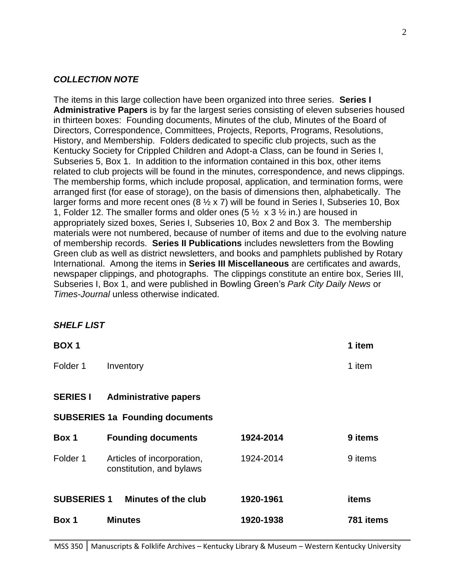### *COLLECTION NOTE*

The items in this large collection have been organized into three series. **Series I Administrative Papers** is by far the largest series consisting of eleven subseries housed in thirteen boxes: Founding documents, Minutes of the club, Minutes of the Board of Directors, Correspondence, Committees, Projects, Reports, Programs, Resolutions, History, and Membership. Folders dedicated to specific club projects, such as the Kentucky Society for Crippled Children and Adopt-a Class, can be found in Series I, Subseries 5, Box 1. In addition to the information contained in this box, other items related to club projects will be found in the minutes, correspondence, and news clippings. The membership forms, which include proposal, application, and termination forms, were arranged first (for ease of storage), on the basis of dimensions then, alphabetically. The larger forms and more recent ones ( $8\frac{1}{2}$  x 7) will be found in Series I, Subseries 10, Box 1, Folder 12. The smaller forms and older ones (5  $\frac{1}{2} \times 3 \frac{1}{2}$  in.) are housed in appropriately sized boxes, Series I, Subseries 10, Box 2 and Box 3. The membership materials were not numbered, because of number of items and due to the evolving nature of membership records. **Series II Publications** includes newsletters from the Bowling Green club as well as district newsletters, and books and pamphlets published by Rotary International. Among the items in **Series III Miscellaneous** are certificates and awards, newspaper clippings, and photographs. The clippings constitute an entire box, Series III, Subseries I, Box 1, and were published in Bowling Green's *Park City Daily News* or *Times-Journal* unless otherwise indicated.

#### *SHELF LIST*

| <b>BOX1</b>        |                                                        |           | 1 item    |
|--------------------|--------------------------------------------------------|-----------|-----------|
| Folder 1           | Inventory                                              |           | 1 item    |
| <b>SERIES I</b>    | <b>Administrative papers</b>                           |           |           |
|                    | <b>SUBSERIES 1a Founding documents</b>                 |           |           |
| Box 1              | <b>Founding documents</b>                              | 1924-2014 | 9 items   |
| Folder 1           | Articles of incorporation,<br>constitution, and bylaws | 1924-2014 | 9 items   |
| <b>SUBSERIES 1</b> | Minutes of the club                                    | 1920-1961 | items     |
| Box 1              | <b>Minutes</b>                                         | 1920-1938 | 781 items |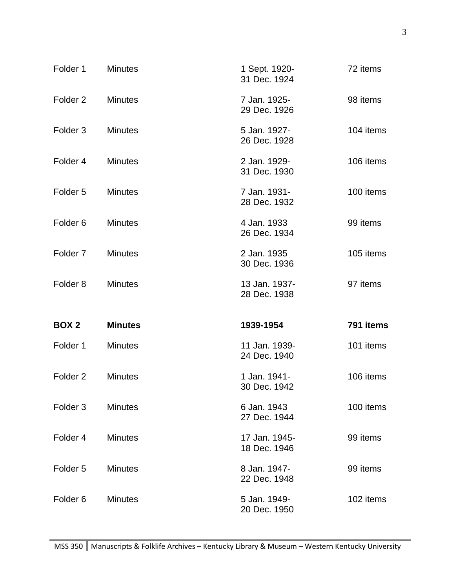| Folder 1            | <b>Minutes</b> | 1 Sept. 1920-<br>31 Dec. 1924 | 72 items  |
|---------------------|----------------|-------------------------------|-----------|
| Folder <sub>2</sub> | <b>Minutes</b> | 7 Jan. 1925-<br>29 Dec. 1926  | 98 items  |
| Folder <sub>3</sub> | <b>Minutes</b> | 5 Jan. 1927-<br>26 Dec. 1928  | 104 items |
| Folder 4            | <b>Minutes</b> | 2 Jan. 1929-<br>31 Dec. 1930  | 106 items |
| Folder <sub>5</sub> | <b>Minutes</b> | 7 Jan. 1931-<br>28 Dec. 1932  | 100 items |
| Folder <sub>6</sub> | <b>Minutes</b> | 4 Jan. 1933<br>26 Dec. 1934   | 99 items  |
| Folder <sub>7</sub> | <b>Minutes</b> | 2 Jan. 1935<br>30 Dec. 1936   | 105 items |
| Folder <sub>8</sub> | <b>Minutes</b> | 13 Jan. 1937-<br>28 Dec. 1938 | 97 items  |
| BOX <sub>2</sub>    | <b>Minutes</b> | 1939-1954                     | 791 items |
| Folder 1            | <b>Minutes</b> | 11 Jan. 1939-<br>24 Dec. 1940 | 101 items |
| Folder <sub>2</sub> | <b>Minutes</b> | 1 Jan. 1941-<br>30 Dec. 1942  | 106 items |
| Folder <sub>3</sub> | <b>Minutes</b> | 6 Jan. 1943<br>27 Dec. 1944   | 100 items |
| Folder 4            | <b>Minutes</b> | 17 Jan. 1945-<br>18 Dec. 1946 | 99 items  |
| Folder <sub>5</sub> | <b>Minutes</b> | 8 Jan. 1947-<br>22 Dec. 1948  | 99 items  |
| Folder <sub>6</sub> | <b>Minutes</b> | 5 Jan. 1949-<br>20 Dec. 1950  | 102 items |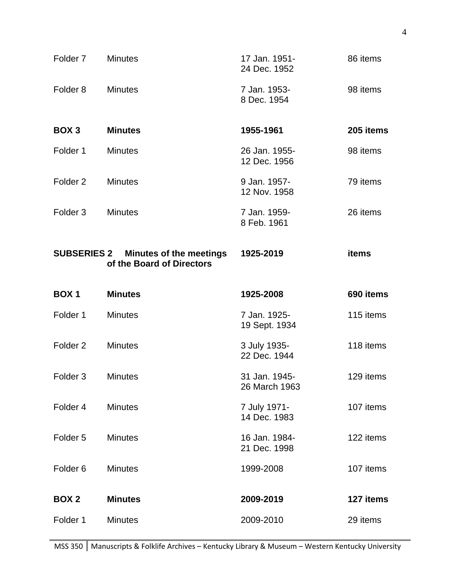| Folder <sub>7</sub> | <b>Minutes</b>                                                          | 17 Jan. 1951-<br>24 Dec. 1952  | 86 items  |
|---------------------|-------------------------------------------------------------------------|--------------------------------|-----------|
| Folder <sub>8</sub> | <b>Minutes</b>                                                          | 7 Jan. 1953-<br>8 Dec. 1954    | 98 items  |
| BOX <sub>3</sub>    | <b>Minutes</b>                                                          | 1955-1961                      | 205 items |
| Folder 1            | <b>Minutes</b>                                                          | 26 Jan. 1955-<br>12 Dec. 1956  | 98 items  |
| Folder <sub>2</sub> | <b>Minutes</b>                                                          | 9 Jan. 1957-<br>12 Nov. 1958   | 79 items  |
| Folder <sub>3</sub> | <b>Minutes</b>                                                          | 7 Jan. 1959-<br>8 Feb. 1961    | 26 items  |
|                     | <b>SUBSERIES 2 Minutes of the meetings</b><br>of the Board of Directors | 1925-2019                      | items     |
|                     |                                                                         |                                |           |
| BOX <sub>1</sub>    | <b>Minutes</b>                                                          | 1925-2008                      | 690 items |
| Folder 1            | <b>Minutes</b>                                                          | 7 Jan. 1925-<br>19 Sept. 1934  | 115 items |
| Folder <sub>2</sub> | <b>Minutes</b>                                                          | 3 July 1935-<br>22 Dec. 1944   | 118 items |
| Folder <sub>3</sub> | <b>Minutes</b>                                                          | 31 Jan. 1945-<br>26 March 1963 | 129 items |
| Folder 4            | <b>Minutes</b>                                                          | 7 July 1971-<br>14 Dec. 1983   | 107 items |
| Folder <sub>5</sub> | <b>Minutes</b>                                                          | 16 Jan. 1984-<br>21 Dec. 1998  | 122 items |
| Folder <sub>6</sub> | <b>Minutes</b>                                                          | 1999-2008                      | 107 items |
| <b>BOX 2</b>        | <b>Minutes</b>                                                          | 2009-2019                      | 127 items |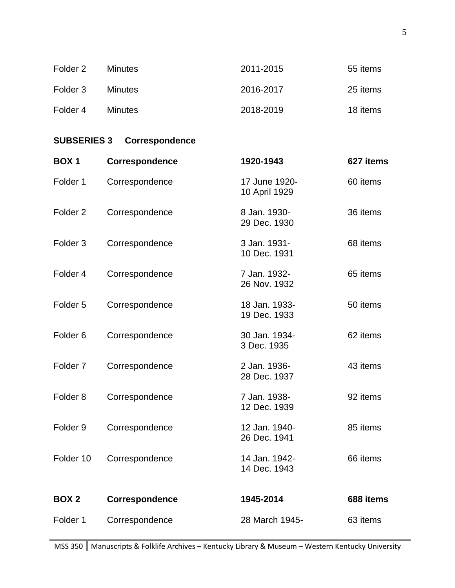| Folder 2 | <b>Minutes</b> | 2011-2015 | 55 items |
|----------|----------------|-----------|----------|
| Folder 3 | <b>Minutes</b> | 2016-2017 | 25 items |
| Folder 4 | <b>Minutes</b> | 2018-2019 | 18 items |

# **SUBSERIES 3 Correspondence**

| <b>BOX1</b>         | Correspondence | 1920-1943                      | 627 items |
|---------------------|----------------|--------------------------------|-----------|
| Folder 1            | Correspondence | 17 June 1920-<br>10 April 1929 | 60 items  |
| Folder <sub>2</sub> | Correspondence | 8 Jan. 1930-<br>29 Dec. 1930   | 36 items  |
| Folder <sub>3</sub> | Correspondence | 3 Jan. 1931-<br>10 Dec. 1931   | 68 items  |
| Folder 4            | Correspondence | 7 Jan. 1932-<br>26 Nov. 1932   | 65 items  |
| Folder <sub>5</sub> | Correspondence | 18 Jan. 1933-<br>19 Dec. 1933  | 50 items  |
| Folder <sub>6</sub> | Correspondence | 30 Jan. 1934-<br>3 Dec. 1935   | 62 items  |
| Folder <sub>7</sub> | Correspondence | 2 Jan. 1936-<br>28 Dec. 1937   | 43 items  |
| Folder <sub>8</sub> | Correspondence | 7 Jan. 1938-<br>12 Dec. 1939   | 92 items  |
| Folder <sub>9</sub> | Correspondence | 12 Jan. 1940-<br>26 Dec. 1941  | 85 items  |
| Folder 10           | Correspondence | 14 Jan. 1942-<br>14 Dec. 1943  | 66 items  |
| <b>BOX2</b>         | Correspondence | 1945-2014                      | 688 items |
| Folder 1            | Correspondence | 28 March 1945-                 | 63 items  |
|                     |                |                                |           |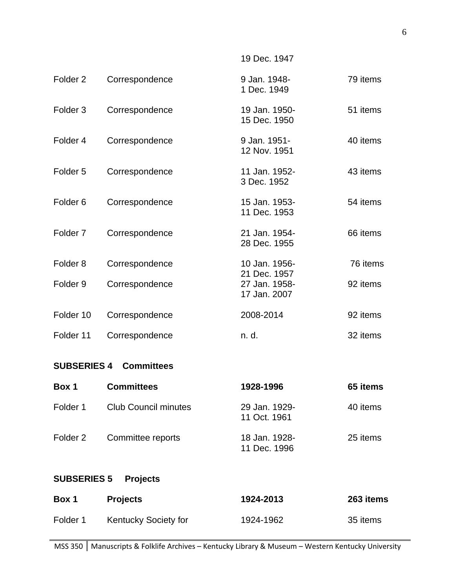Folder 2 Correspondence 9 Jan. 1948- 79 items 1 Dec. 1949 Folder 3 Correspondence 19 Jan. 1950- 51 items 15 Dec. 1950 Folder 4 Correspondence 9 Jan. 1951- 40 items 12 Nov. 1951 Folder 5 Correspondence 11 Jan. 1952- 43 items 3 Dec. 1952 Folder 6 Correspondence 15 Jan. 1953- 54 items 11 Dec. 1953 Folder 7 Correspondence 21 Jan. 1954- 66 items 28 Dec. 1955 Folder 8 Correspondence 10 Jan. 1956- 76 items 21 Dec. 1957 Folder 9 Correspondence 27 Jan. 1958- 92 items 17 Jan. 2007 Folder 10 Correspondence 2008-2014 92 items Folder 11 Correspondence n. d. 32 items

19 Dec. 1947

#### **SUBSERIES 4 Committees**

| Box 1    | <b>Committees</b>           | 1928-1996                     | 65 items |
|----------|-----------------------------|-------------------------------|----------|
| Folder 1 | <b>Club Council minutes</b> | 29 Jan. 1929-<br>11 Oct. 1961 | 40 items |
| Folder 2 | Committee reports           | 18 Jan. 1928-<br>11 Dec. 1996 | 25 items |

#### **SUBSERIES 5 Projects**

| Box 1    | <b>Projects</b>             | 1924-2013 | 263 items |
|----------|-----------------------------|-----------|-----------|
| Folder 1 | <b>Kentucky Society for</b> | 1924-1962 | 35 items  |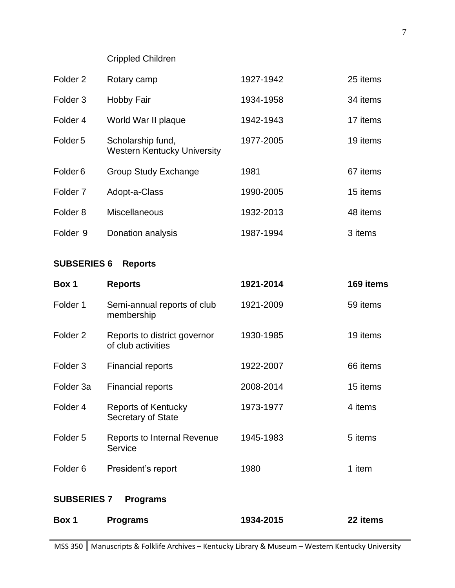Crippled Children

| Folder <sub>2</sub> | Rotary camp                                             | 1927-1942 | 25 items |
|---------------------|---------------------------------------------------------|-----------|----------|
| Folder <sub>3</sub> | <b>Hobby Fair</b>                                       | 1934-1958 | 34 items |
| Folder <sub>4</sub> | World War II plaque                                     | 1942-1943 | 17 items |
| Folder <sub>5</sub> | Scholarship fund,<br><b>Western Kentucky University</b> | 1977-2005 | 19 items |
| Folder <sub>6</sub> | <b>Group Study Exchange</b>                             | 1981      | 67 items |
| Folder <sub>7</sub> | Adopt-a-Class                                           | 1990-2005 | 15 items |
| Folder <sub>8</sub> | <b>Miscellaneous</b>                                    | 1932-2013 | 48 items |
| Folder <sub>9</sub> | Donation analysis                                       | 1987-1994 | 3 items  |

# **SUBSERIES 6 Reports**

| Box 1               | <b>Reports</b>                                          | 1921-2014 | 169 items |
|---------------------|---------------------------------------------------------|-----------|-----------|
| Folder 1            | Semi-annual reports of club<br>membership               | 1921-2009 | 59 items  |
| Folder <sub>2</sub> | Reports to district governor<br>of club activities      | 1930-1985 | 19 items  |
| Folder <sub>3</sub> | <b>Financial reports</b>                                | 1922-2007 | 66 items  |
| Folder 3a           | <b>Financial reports</b>                                | 2008-2014 | 15 items  |
| Folder 4            | <b>Reports of Kentucky</b><br><b>Secretary of State</b> | 1973-1977 | 4 items   |
| Folder <sub>5</sub> | <b>Reports to Internal Revenue</b><br>Service           | 1945-1983 | 5 items   |
| Folder <sub>6</sub> | President's report                                      | 1980      | 1 item    |
| <b>SUBSERIES 7</b>  | <b>Programs</b>                                         |           |           |
| Box 1               | <b>Programs</b>                                         | 1934-2015 | 22 items  |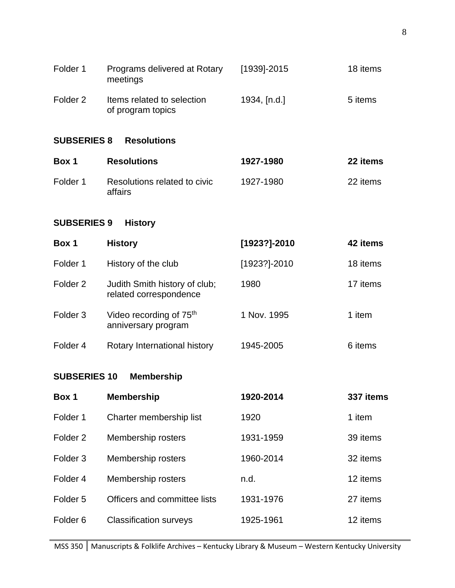| Folder 1            | Programs delivered at Rotary<br>meetings                   | [1939]-2015  | 18 items  |
|---------------------|------------------------------------------------------------|--------------|-----------|
| Folder <sub>2</sub> | Items related to selection<br>of program topics            | 1934, [n.d.] | 5 items   |
| <b>SUBSERIES 8</b>  | <b>Resolutions</b>                                         |              |           |
| Box 1               | <b>Resolutions</b>                                         | 1927-1980    | 22 items  |
| Folder 1            | Resolutions related to civic<br>affairs                    | 1927-1980    | 22 items  |
| <b>SUBSERIES 9</b>  | <b>History</b>                                             |              |           |
| Box 1               | <b>History</b>                                             | [1923?]-2010 | 42 items  |
| Folder 1            | History of the club                                        | [1923?]-2010 | 18 items  |
| Folder <sub>2</sub> | Judith Smith history of club;<br>related correspondence    | 1980         | 17 items  |
| Folder <sub>3</sub> | Video recording of 75 <sup>th</sup><br>anniversary program | 1 Nov. 1995  | 1 item    |
| Folder 4            | Rotary International history                               | 1945-2005    | 6 items   |
| <b>SUBSERIES 10</b> | <b>Membership</b>                                          |              |           |
| Box 1               | <b>Membership</b>                                          | 1920-2014    | 337 items |
| Folder 1            | Charter membership list                                    | 1920         | 1 item    |
| Folder <sub>2</sub> | Membership rosters                                         | 1931-1959    | 39 items  |
| Folder <sub>3</sub> | Membership rosters                                         | 1960-2014    | 32 items  |
| Folder 4            | Membership rosters                                         | n.d.         | 12 items  |
| Folder <sub>5</sub> | Officers and committee lists                               | 1931-1976    | 27 items  |
| Folder <sub>6</sub> | <b>Classification surveys</b>                              | 1925-1961    | 12 items  |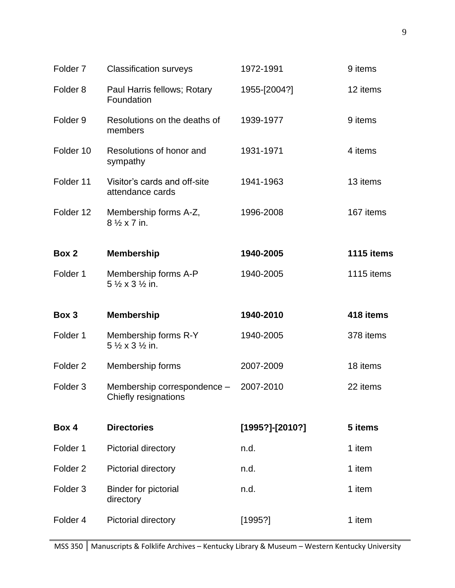| Folder <sub>7</sub> | <b>Classification surveys</b>                                  | 1972-1991       | 9 items    |
|---------------------|----------------------------------------------------------------|-----------------|------------|
| Folder <sub>8</sub> | Paul Harris fellows; Rotary<br>Foundation                      | 1955-[2004?]    | 12 items   |
| Folder <sub>9</sub> | Resolutions on the deaths of<br>members                        | 1939-1977       | 9 items    |
| Folder 10           | Resolutions of honor and<br>sympathy                           | 1931-1971       | 4 items    |
| Folder 11           | Visitor's cards and off-site<br>attendance cards               | 1941-1963       | 13 items   |
| Folder 12           | Membership forms A-Z,<br>8 1/2 x 7 in.                         | 1996-2008       | 167 items  |
| Box 2               | <b>Membership</b>                                              | 1940-2005       | 1115 items |
| Folder 1            | Membership forms A-P<br>$5\frac{1}{2} \times 3\frac{1}{2}$ in. | 1940-2005       | 1115 items |
|                     |                                                                |                 |            |
| Box 3               | <b>Membership</b>                                              | 1940-2010       | 418 items  |
| Folder 1            | Membership forms R-Y<br>5 1/2 x 3 1/2 in.                      | 1940-2005       | 378 items  |
| Folder <sub>2</sub> | Membership forms                                               | 2007-2009       | 18 items   |
| Folder <sub>3</sub> | Membership correspondence -<br>Chiefly resignations            | 2007-2010       | 22 items   |
| Box 4               | <b>Directories</b>                                             | [1995?]-[2010?] | 5 items    |
| Folder 1            | Pictorial directory                                            | n.d.            | 1 item     |
| Folder <sub>2</sub> | Pictorial directory                                            | n.d.            | 1 item     |
| Folder <sub>3</sub> | <b>Binder for pictorial</b><br>directory                       | n.d.            | 1 item     |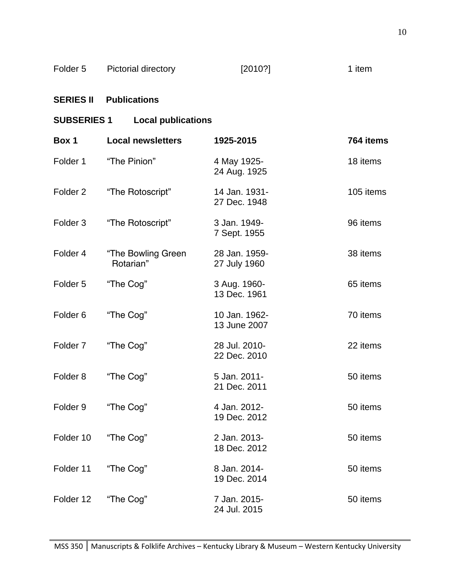| Folder 5 | Pictorial directory | [2010?] | 1 item |
|----------|---------------------|---------|--------|
|----------|---------------------|---------|--------|

## **SERIES II Publications**

## **SUBSERIES 1 Local publications**

| Box 1               | <b>Local newsletters</b>        | 1925-2015                     | 764 items |
|---------------------|---------------------------------|-------------------------------|-----------|
| Folder 1            | "The Pinion"                    | 4 May 1925-<br>24 Aug. 1925   | 18 items  |
| Folder <sub>2</sub> | "The Rotoscript"                | 14 Jan. 1931-<br>27 Dec. 1948 | 105 items |
| Folder <sub>3</sub> | "The Rotoscript"                | 3 Jan. 1949-<br>7 Sept. 1955  | 96 items  |
| Folder 4            | "The Bowling Green<br>Rotarian" | 28 Jan. 1959-<br>27 July 1960 | 38 items  |
| Folder <sub>5</sub> | "The Cog"                       | 3 Aug. 1960-<br>13 Dec. 1961  | 65 items  |
| Folder <sub>6</sub> | "The Cog"                       | 10 Jan. 1962-<br>13 June 2007 | 70 items  |
| Folder <sub>7</sub> | "The Cog"                       | 28 Jul. 2010-<br>22 Dec. 2010 | 22 items  |
| Folder <sub>8</sub> | "The Cog"                       | 5 Jan. 2011-<br>21 Dec. 2011  | 50 items  |
| Folder <sub>9</sub> | "The Cog"                       | 4 Jan. 2012-<br>19 Dec. 2012  | 50 items  |
| Folder 10           | "The Cog"                       | 2 Jan. 2013-<br>18 Dec. 2012  | 50 items  |
| Folder 11           | "The Cog"                       | 8 Jan. 2014-<br>19 Dec. 2014  | 50 items  |
| Folder 12           | "The Cog"                       | 7 Jan. 2015-<br>24 Jul. 2015  | 50 items  |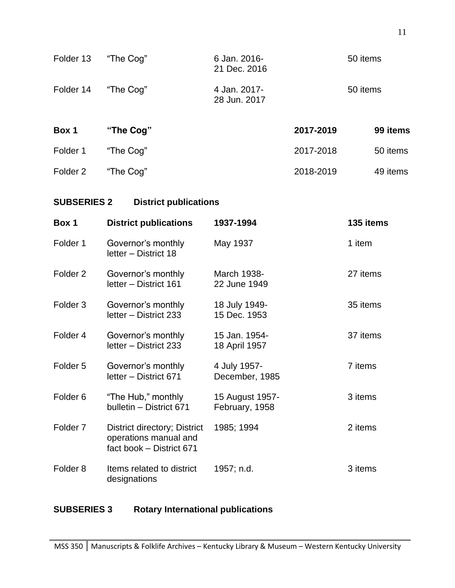| Folder 13           | "The Cog"                                  | 6 Jan. 2016-<br>21 Dec. 2016 |           | 50 items  |
|---------------------|--------------------------------------------|------------------------------|-----------|-----------|
| Folder 14           | "The Cog"                                  | 4 Jan. 2017-<br>28 Jun. 2017 |           | 50 items  |
| Box 1               | "The Cog"                                  |                              | 2017-2019 | 99 items  |
| Folder 1            | "The Cog"                                  |                              | 2017-2018 | 50 items  |
| Folder <sub>2</sub> | "The Cog"                                  |                              | 2018-2019 | 49 items  |
| <b>SUBSERIES 2</b>  | <b>District publications</b>               |                              |           |           |
| Box 1               | <b>District publications</b>               | 1937-1994                    |           | 135 items |
| Folder 1            | Governor's monthly<br>letter - District 18 | May 1937                     |           | 1 item    |

| Folder <sub>2</sub> | Governor's monthly<br>letter - District 161                                       | March 1938-<br>22 June 1949       | 27 items |
|---------------------|-----------------------------------------------------------------------------------|-----------------------------------|----------|
| Folder <sub>3</sub> | Governor's monthly<br>letter - District 233                                       | 18 July 1949-<br>15 Dec. 1953     | 35 items |
| Folder 4            | Governor's monthly<br>letter - District 233                                       | 15 Jan. 1954-<br>18 April 1957    | 37 items |
| Folder <sub>5</sub> | Governor's monthly<br>letter - District 671                                       | 4 July 1957-<br>December, 1985    | 7 items  |
| Folder <sub>6</sub> | "The Hub," monthly<br>bulletin - District 671                                     | 15 August 1957-<br>February, 1958 | 3 items  |
| Folder <sub>7</sub> | District directory; District<br>operations manual and<br>fact book - District 671 | 1985; 1994                        | 2 items  |
| Folder <sub>8</sub> | Items related to district<br>designations                                         | 1957; n.d.                        | 3 items  |

## **SUBSERIES 3 Rotary International publications**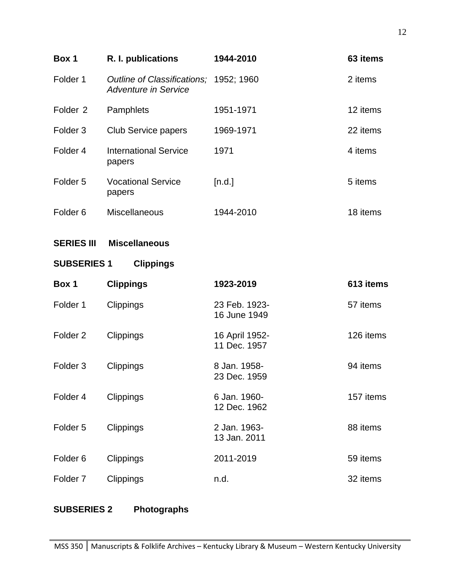| Box 1               | R. I. publications                                         | 1944-2010                      | 63 items  |
|---------------------|------------------------------------------------------------|--------------------------------|-----------|
| Folder 1            | Outline of Classifications;<br><b>Adventure in Service</b> | 1952; 1960                     | 2 items   |
| Folder <sub>2</sub> | Pamphlets                                                  | 1951-1971                      | 12 items  |
| Folder <sub>3</sub> | <b>Club Service papers</b>                                 | 1969-1971                      | 22 items  |
| Folder 4            | <b>International Service</b><br>papers                     | 1971                           | 4 items   |
| Folder <sub>5</sub> | <b>Vocational Service</b><br>papers                        | [n.d.]                         | 5 items   |
| Folder <sub>6</sub> | Miscellaneous                                              | 1944-2010                      | 18 items  |
| <b>SERIES III</b>   | <b>Miscellaneous</b>                                       |                                |           |
| <b>SUBSERIES 1</b>  | <b>Clippings</b>                                           |                                |           |
| Box 1               | <b>Clippings</b>                                           | 1923-2019                      | 613 items |
| Folder 1            | Clippings                                                  | 23 Feb. 1923-<br>16 June 1949  | 57 items  |
| Folder <sub>2</sub> | Clippings                                                  | 16 April 1952-<br>11 Dec. 1957 | 126 items |
| Folder <sub>3</sub> | Clippings                                                  | 8 Jan. 1958-<br>23 Dec. 1959   | 94 items  |
| Folder 4            | Clippings                                                  | 6 Jan. 1960-<br>12 Dec. 1962   | 157 items |
| Folder <sub>5</sub> | Clippings                                                  | 2 Jan. 1963-<br>13 Jan. 2011   | 88 items  |
| Folder <sub>6</sub> | Clippings                                                  | 2011-2019                      | 59 items  |
| Folder <sub>7</sub> | Clippings                                                  | n.d.                           | 32 items  |
|                     |                                                            |                                |           |

# **SUBSERIES 2 Photographs**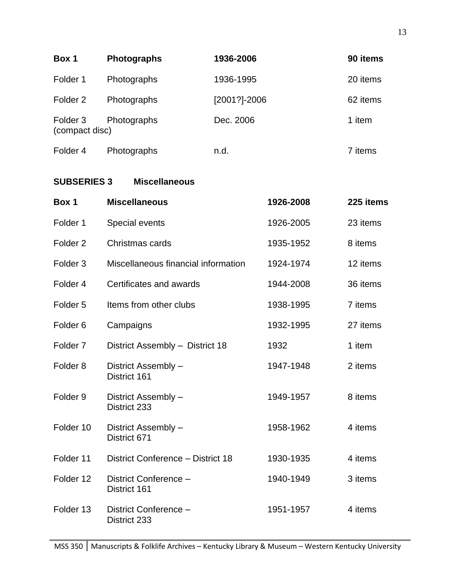| Box 1                                 | <b>Photographs</b> | 1936-2006    | 90 items |
|---------------------------------------|--------------------|--------------|----------|
| Folder 1                              | Photographs        | 1936-1995    | 20 items |
| Folder 2                              | Photographs        | [2001?]-2006 | 62 items |
| Folder <sub>3</sub><br>(compact disc) | Photographs        | Dec. 2006    | 1 item   |
| Folder 4                              | Photographs        | n.d.         | 7 items  |

## **SUBSERIES 3 Miscellaneous**

| Box 1               | <b>Miscellaneous</b>                  | 1926-2008 | 225 items |
|---------------------|---------------------------------------|-----------|-----------|
| Folder 1            | Special events                        | 1926-2005 | 23 items  |
| Folder <sub>2</sub> | Christmas cards                       | 1935-1952 | 8 items   |
| Folder <sub>3</sub> | Miscellaneous financial information   | 1924-1974 | 12 items  |
| Folder <sub>4</sub> | Certificates and awards               | 1944-2008 | 36 items  |
| Folder <sub>5</sub> | Items from other clubs                | 1938-1995 | 7 items   |
| Folder <sub>6</sub> | Campaigns                             | 1932-1995 | 27 items  |
| Folder <sub>7</sub> | District Assembly - District 18       | 1932      | 1 item    |
| Folder <sub>8</sub> | District Assembly -<br>District 161   | 1947-1948 | 2 items   |
| Folder <sub>9</sub> | District Assembly -<br>District 233   | 1949-1957 | 8 items   |
| Folder 10           | District Assembly -<br>District 671   | 1958-1962 | 4 items   |
| Folder 11           | District Conference - District 18     | 1930-1935 | 4 items   |
| Folder 12           | District Conference -<br>District 161 | 1940-1949 | 3 items   |
| Folder 13           | District Conference -<br>District 233 | 1951-1957 | 4 items   |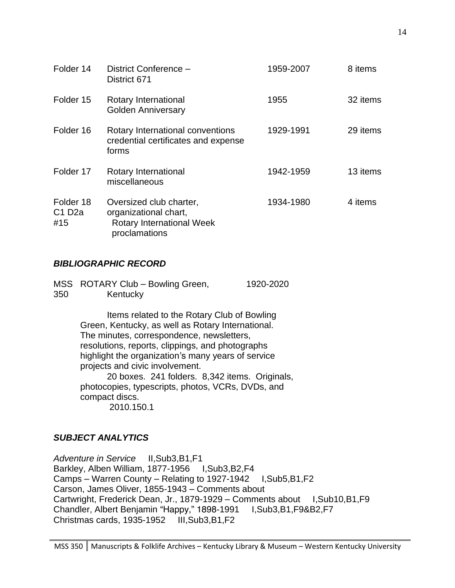| Folder 14                 | District Conference -<br>District 671                                                                 | 1959-2007 | 8 items  |
|---------------------------|-------------------------------------------------------------------------------------------------------|-----------|----------|
| Folder 15                 | Rotary International<br><b>Golden Anniversary</b>                                                     | 1955      | 32 items |
| Folder 16                 | Rotary International conventions<br>credential certificates and expense<br>forms                      | 1929-1991 | 29 items |
| Folder 17                 | Rotary International<br>miscellaneous                                                                 | 1942-1959 | 13 items |
| Folder 18<br>C1D2a<br>#15 | Oversized club charter,<br>organizational chart,<br><b>Rotary International Week</b><br>proclamations | 1934-1980 | 4 items  |

### *BIBLIOGRAPHIC RECORD*

|     | MSS ROTARY Club - Bowling Green, | 1920-2020 |
|-----|----------------------------------|-----------|
| 350 | Kentucky                         |           |

Items related to the Rotary Club of Bowling Green, Kentucky, as well as Rotary International. The minutes, correspondence, newsletters, resolutions, reports, clippings, and photographs highlight the organization's many years of service projects and civic involvement.

20 boxes. 241 folders. 8,342 items. Originals, photocopies, typescripts, photos, VCRs, DVDs, and compact discs. 2010.150.1

## *SUBJECT ANALYTICS*

*Adventure in Service* II,Sub3,B1,F1 Barkley, Alben William, 1877-1956 I,Sub3,B2,F4 Camps – Warren County – Relating to 1927-1942 I,Sub5,B1,F2 Carson, James Oliver, 1855-1943 – Comments about Cartwright, Frederick Dean, Jr., 1879-1929 – Comments about I, Sub10, B1, F9 Chandler, Albert Benjamin "Happy," 1898-1991 I,Sub3,B1,F9&B2,F7 Christmas cards, 1935-1952 III,Sub3,B1,F2